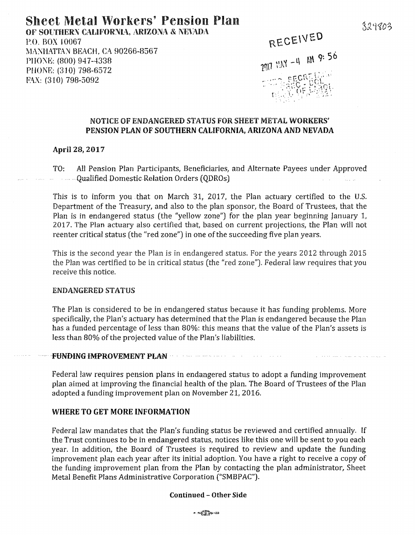## Sheet Metal Workers' Pension Plan OF SOUTHERN CALIFORNIA, ARIZONA & NEVADA

P.O. BOX I 0067 MANHATTAN BEACH. CA 90266-8567 PHONE: (800) 947-4338 PHONE: (310) 798-6572 FAX: (310) 798-5092

RECEIVED

# $2017$  MAY  $-4$  MM 9: 56 wa seck

### NOTICE OF ENDANGERED STATUS FOR SHEET METAL WORKERS' PENSION PLAN OF SOUTHERN CALIFORNIA, ARIZONA AND NEVADA

#### April 28, 2017

TO: All Pension Plan Participants, Beneficiaries, and Alternate Payees under Approved Qualified Domestic.Relation Orders (QDROs)

This is to inform you that on March 31, 2017, the Plan actuary certified to the U.S. Department of the Treasury, and also to the plan sponsor, the Board of Trustees, that the Plan is in endangered status (the "yellow zone") for the plan year beginning January 1, 2017. The Plan actuary also certified that, based on current projections, the Plan will not reenter critical status (the "red zone") in one of the succeeding five plan years.

This is the second year the Plan is in endangered status. For the years 2012 through 2015 the Plan was certified to be in critical status (the "red zone"). Federal law requires that you receive this notice.

#### ENDANGERED STATUS

The Plan is considered to be in endangered status because it has funding problems. More specifically, the Plan's actuary has determined that the Plan is endangered because the Plan has a funded percentage of less than 80%: this means that the value of the Plan's assets is less than 80% of the projected value of the Plan's liabilities.

#### · · ·-FHN-DIN6 IMPROVEMENT Pl;.AN · ·

Federal law requires pension plans in endangered status to adopt a funding improvement plan aimed at improving the financial health of the plan. The Board of Trustees of the Plan adopted a funding improvement plan on November 21, 2016.

 $\mathcal{L}^{\mathcal{L}}$  and the contribution of the contribution of the contribution of  $\mathcal{L}^{\mathcal{L}}$ 

#### WHERE TO GET MORE INFORMATION

Federal law mandates that the Plan's funding status be reviewed and certified annually. If the Trust continues to be in endangered status, notices like this one will be sent to you each year. In addition, the Board of Trustees is required to review and update the funding improvement plan each year after its initial adoption. You have a right to receive a copy of the funding improvement plan from the Plan by contacting the plan administrator, Sheet Metal Benefit Plans Administrative Corporation ("SMBPAC").

#### Continued - Other Side

 $-1.6229328$ 

329803